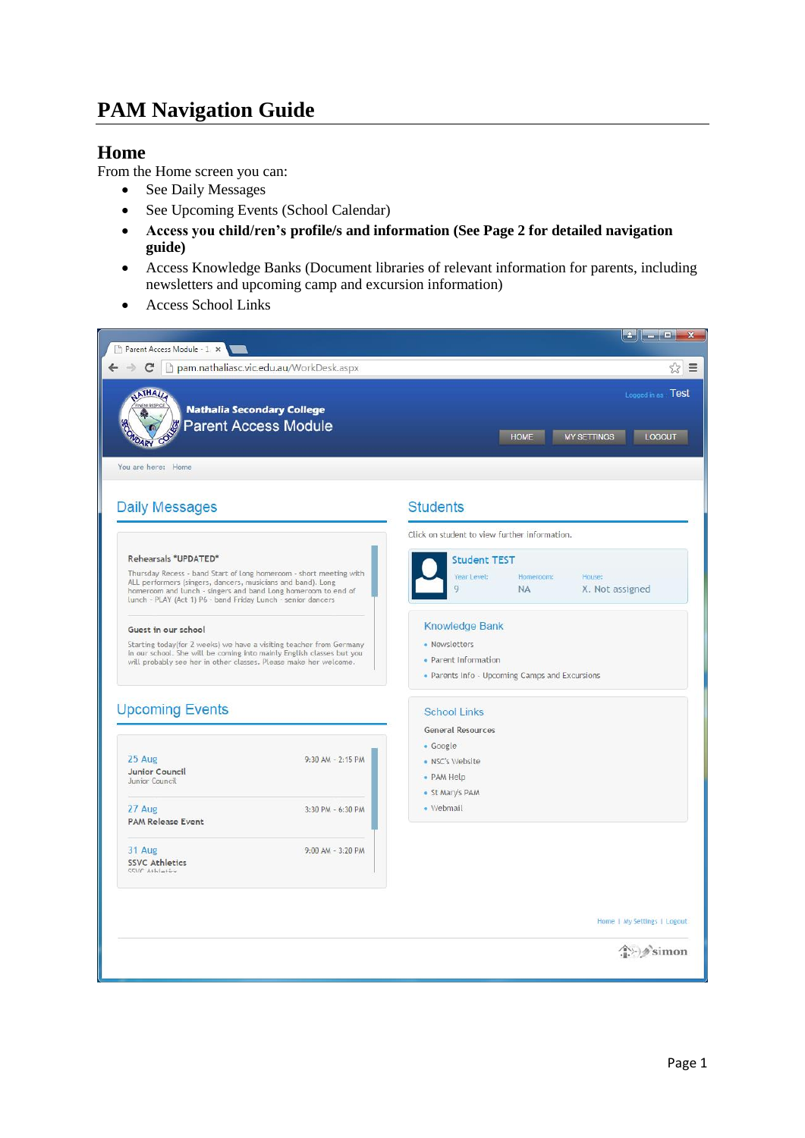# **PAM Navigation Guide**

### **Home**

From the Home screen you can:

- See Daily Messages
- See Upcoming Events (School Calendar)
- **Access you child/ren's profile/s and information (See Page 2 for detailed navigation guide)**
- Access Knowledge Banks (Document libraries of relevant information for parents, including newsletters and upcoming camp and excursion information)
- Access School Links